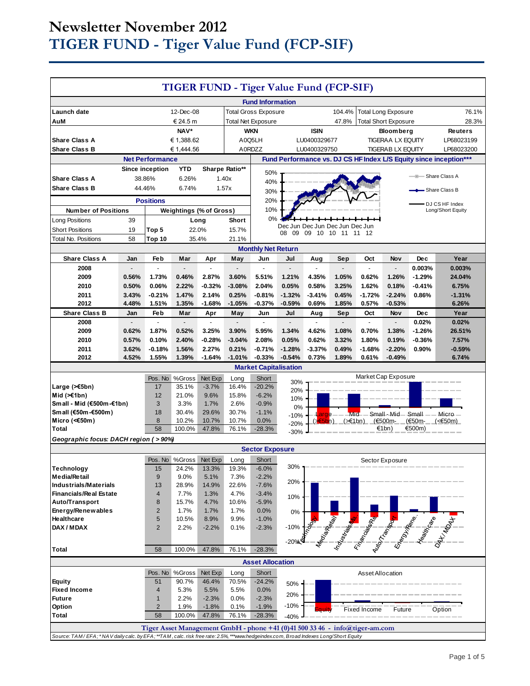# **Newsletter November 2012 TIGER FUND - Tiger Value Fund (FCP-SIF)**

| TIGER FUND - Tiger Value Fund (FCP-SIF)                                                                                             |       |                         |                                |                           |                |                                                                             |                   |                                 |                            |                                 |                     |                               |                                                                                                                                                                                                                               |
|-------------------------------------------------------------------------------------------------------------------------------------|-------|-------------------------|--------------------------------|---------------------------|----------------|-----------------------------------------------------------------------------|-------------------|---------------------------------|----------------------------|---------------------------------|---------------------|-------------------------------|-------------------------------------------------------------------------------------------------------------------------------------------------------------------------------------------------------------------------------|
| <b>Fund Information</b>                                                                                                             |       |                         |                                |                           |                |                                                                             |                   |                                 |                            |                                 |                     |                               |                                                                                                                                                                                                                               |
| 104.4%<br><b>Total Long Exposure</b><br>Launch date<br>12-Dec-08<br><b>Total Gross Exposure</b>                                     |       |                         |                                |                           |                |                                                                             | 76.1%             |                                 |                            |                                 |                     |                               |                                                                                                                                                                                                                               |
| € 24.5 m<br>AuM                                                                                                                     |       |                         |                                | <b>Total Net Exposure</b> |                | 47.8%<br><b>Total Short Exposure</b>                                        |                   |                                 |                            | 28.3%                           |                     |                               |                                                                                                                                                                                                                               |
| NAV*                                                                                                                                |       |                         |                                | <b>WKN</b>                |                | <b>ISIN</b>                                                                 |                   | <b>Bloomberg</b>                |                            |                                 | <b>Reuters</b>      |                               |                                                                                                                                                                                                                               |
| € 1,388.62<br><b>Share Class A</b>                                                                                                  |       | A0Q5LH                  |                                |                           | LU0400329677   |                                                                             | TIGERAA LX EQUITY |                                 |                            | LP68023199                      |                     |                               |                                                                                                                                                                                                                               |
| <b>Share Class B</b><br>€ 1,444.56                                                                                                  |       | A0RDZZ                  |                                |                           | LU0400329750   | <b>TIGERAB LX EQUITY</b>                                                    |                   |                                 |                            | LP68023200                      |                     |                               |                                                                                                                                                                                                                               |
|                                                                                                                                     |       | <b>Net Performance</b>  |                                |                           |                |                                                                             |                   |                                 |                            |                                 |                     |                               | Fund Performance vs. DJ CS HF Index L/S Equity since inception***                                                                                                                                                             |
|                                                                                                                                     |       | Since inception         | <b>YTD</b>                     |                           | Sharpe Ratio** | 50%                                                                         |                   |                                 |                            |                                 |                     | - Share Class A               |                                                                                                                                                                                                                               |
| <b>Share Class A</b>                                                                                                                |       | 38.86%                  | 6.26%                          |                           | 1.40x          | 40%                                                                         |                   |                                 |                            |                                 |                     |                               |                                                                                                                                                                                                                               |
| 44.46%<br><b>Share Class B</b><br>6.74%<br>1.57x<br>Share Class B<br>30%                                                            |       |                         |                                |                           |                |                                                                             |                   |                                 |                            |                                 |                     |                               |                                                                                                                                                                                                                               |
| <b>Positions</b>                                                                                                                    |       |                         |                                | 20%                       |                |                                                                             |                   |                                 |                            |                                 | DJ CS HF Index      |                               |                                                                                                                                                                                                                               |
| <b>Number of Positions</b>                                                                                                          |       |                         | <b>Weightings (% of Gross)</b> |                           |                | 10%                                                                         |                   |                                 |                            |                                 |                     |                               | Long/Short Equity                                                                                                                                                                                                             |
| Long Positions                                                                                                                      | 39    |                         |                                | Long                      | Short          | 0%                                                                          |                   | Dec Jun Dec Jun Dec Jun Dec Jun |                            |                                 |                     |                               |                                                                                                                                                                                                                               |
| <b>Short Positions</b>                                                                                                              | 19    | Top 5                   | 22.0%                          |                           | 15.7%          |                                                                             |                   | 08 09 09 10 10 11 11 12         |                            |                                 |                     |                               |                                                                                                                                                                                                                               |
| <b>Total No. Positions</b>                                                                                                          | 58    | <b>Top 10</b>           | 35.4%                          |                           | 21.1%          |                                                                             |                   |                                 |                            |                                 |                     |                               |                                                                                                                                                                                                                               |
| <b>Monthly Net Return</b>                                                                                                           |       |                         |                                |                           |                |                                                                             |                   |                                 |                            |                                 |                     |                               |                                                                                                                                                                                                                               |
| <b>Share Class A</b>                                                                                                                | Jan   | Feb                     | Mar                            | Apr                       | May            | Jun<br>$\overline{a}$                                                       | Jul               | Aug                             | Sep                        | Oct<br>$\overline{\phantom{a}}$ | Nov                 | <b>Dec</b>                    | Year                                                                                                                                                                                                                          |
| 2008<br>2009                                                                                                                        | 0.56% | 1.73%                   | 0.46%                          | 2.87%                     | 3.60%          | 5.51%                                                                       | 1.21%             | 4.35%                           | 1.05%                      | 0.62%                           | 1.26%               | 0.003%<br>$-1.29%$            | 0.003%<br>24.04%                                                                                                                                                                                                              |
| 2010                                                                                                                                | 0.50% | 0.06%                   | 2.22%                          | $-0.32%$                  | $-3.08%$       | 2.04%                                                                       | 0.05%             | 0.58%                           | 3.25%                      | 1.62%                           | 0.18%               | $-0.41%$                      | 6.75%                                                                                                                                                                                                                         |
| 2011                                                                                                                                | 3.43% | $-0.21%$                | 1.47%                          | 2.14%                     | 0.25%          | $-0.81%$                                                                    | $-1.32%$          | $-3.41%$                        | 0.45%                      | $-1.72%$                        | $-2.24%$            | 0.86%                         | $-1.31%$                                                                                                                                                                                                                      |
| 2012                                                                                                                                | 4.48% | 1.51%                   | 1.35%                          | $-1.68%$                  | $-1.05%$       | $-0.37%$                                                                    | $-0.59%$          | 0.69%                           | 1.85%                      | 0.57%                           | $-0.53%$            |                               | 6.26%                                                                                                                                                                                                                         |
| <b>Share Class B</b>                                                                                                                | Jan   | Feb                     | Mar                            | Apr                       | May            | Jun                                                                         | Jul               | Aug                             | Sep                        | Oct                             | Nov                 | <b>Dec</b>                    | Year                                                                                                                                                                                                                          |
| 2008                                                                                                                                |       | $\mathbf{r}$            | $\overline{a}$                 | $\mathbf{r}$              |                | ÷.                                                                          |                   | $\overline{a}$                  |                            | $\blacksquare$                  |                     | 0.02%                         | 0.02%                                                                                                                                                                                                                         |
| 2009                                                                                                                                | 0.62% | 1.87%                   | 0.52%                          | 3.25%                     | 3.90%          | 5.95%                                                                       | 1.34%             | 4.62%                           | 1.08%                      | 0.70%                           | 1.38%               | $-1.26%$                      | 26.51%                                                                                                                                                                                                                        |
| 2010                                                                                                                                | 0.57% | 0.10%                   | 2.40%                          | $-0.28%$                  | $-3.04%$       | 2.08%                                                                       | 0.05%             | 0.62%                           | 3.32%                      | 1.80%                           | 0.19%               | $-0.36%$                      | 7.57%                                                                                                                                                                                                                         |
| 2011                                                                                                                                | 3.62% | $-0.18%$                | 1.56%                          | 2.27%                     | 0.21%          | $-0.71%$                                                                    | $-1.28%$          | $-3.37%$                        | 0.49%                      | $-1.68%$                        | $-2.20%$            | 0.90%                         | $-0.59%$                                                                                                                                                                                                                      |
| 2012                                                                                                                                | 4.52% | 1.55%                   | 1.39%                          | $-1.64%$                  | $-1.01%$       | $-0.33%$                                                                    | $-0.54%$          | 0.73%                           | 1.89%                      | 0.61%                           | $-0.49%$            |                               | 6.74%                                                                                                                                                                                                                         |
|                                                                                                                                     |       |                         |                                |                           |                | <b>Market Capitalisation</b>                                                |                   |                                 |                            |                                 | Market Cap Exposure |                               |                                                                                                                                                                                                                               |
| Large (≫€5bn)                                                                                                                       |       | Pos. No<br>17           | %Gross<br>35.1%                | Net Exp<br>$-3.7%$        | Long<br>16.4%  | Short<br>$-20.2%$                                                           | 30%               |                                 |                            |                                 |                     |                               |                                                                                                                                                                                                                               |
| Mid $(\geq 1$ bn)                                                                                                                   |       | 12                      | 21.0%                          | 9.6%                      | 15.8%          | $-6.2%$                                                                     | 20%               |                                 |                            |                                 |                     |                               |                                                                                                                                                                                                                               |
| Small - Mid (€500m-€1bn)                                                                                                            |       | 3                       | 3.3%                           | 1.7%                      | 2.6%           | $-0.9%$                                                                     | 10%<br>0%         |                                 |                            |                                 |                     |                               |                                                                                                                                                                                                                               |
| Small (€50m-€500m)                                                                                                                  |       | 18                      | 30.4%                          | 29.6%                     | 30.7%          | $-1.1%$                                                                     | $-10%$            | arge—                           | $-\overline{\mathsf{Mid}}$ |                                 |                     | Small - Mid-Small - - Micro - |                                                                                                                                                                                                                               |
| Micro (<€50m)                                                                                                                       |       | 8                       | 10.2%                          | 10.7%                     | 10.7%          | 0.0%                                                                        | $-20%$            | ( <del>&gt;E5b</del> h)         | (≥€1bn)                    |                                 | (€500m-             | (€50m-                        | $\angle$ (<€50m)                                                                                                                                                                                                              |
| <b>Total</b>                                                                                                                        |       | 58                      | 100.0%                         | 47.8%                     | 76.1%          | $-28.3%$                                                                    | $-30%$            |                                 |                            |                                 | €1bn)               | €500m)                        |                                                                                                                                                                                                                               |
| Geographic focus: DACH region (>90%)                                                                                                |       |                         |                                |                           |                |                                                                             |                   |                                 |                            |                                 |                     |                               |                                                                                                                                                                                                                               |
|                                                                                                                                     |       |                         |                                |                           |                | <b>Sector Exposure</b>                                                      |                   |                                 |                            |                                 |                     |                               |                                                                                                                                                                                                                               |
|                                                                                                                                     |       |                         | Pos. No %Gross                 | Net Exp                   | Long           | Short                                                                       | 30%               |                                 |                            |                                 | Sector Exposure     |                               |                                                                                                                                                                                                                               |
| <b>Technology</b><br><b>Media/Retail</b>                                                                                            |       | 15<br>9                 | 24.2%<br>9.0%                  | 13.3%<br>5.1%             | 19.3%<br>7.3%  | $-6.0%$<br>$-2.2%$                                                          |                   |                                 |                            |                                 |                     |                               |                                                                                                                                                                                                                               |
| <b>Industrials/Materials</b>                                                                                                        |       | 13                      | 28.9%                          | 14.9%                     | 22.6%          | $-7.6%$                                                                     | 20%               |                                 |                            |                                 |                     |                               |                                                                                                                                                                                                                               |
| <b>Financials/Real Estate</b>                                                                                                       |       | $\overline{\mathbf{4}}$ | 7.7%                           | 1.3%                      | 4.7%           | $-3.4%$                                                                     |                   |                                 |                            |                                 |                     |                               |                                                                                                                                                                                                                               |
| Auto/Transport                                                                                                                      |       | 8                       | 15.7%                          | 4.7%                      | 10.6%          | $-5.9%$                                                                     | 10%               |                                 |                            |                                 |                     |                               |                                                                                                                                                                                                                               |
| Energy/Renewables                                                                                                                   |       | $\overline{c}$          | 1.7%                           | 1.7%                      | 1.7%           | 0.0%                                                                        | 0%                |                                 |                            |                                 |                     |                               |                                                                                                                                                                                                                               |
| Healthcare                                                                                                                          |       | 5                       | 10.5%                          | 8.9%                      | 9.9%           | $-1.0%$                                                                     |                   |                                 |                            |                                 |                     |                               |                                                                                                                                                                                                                               |
| DAX / MDAX                                                                                                                          |       | $\overline{2}$          | 2.2%                           | $-2.2%$                   | 0.1%           | $-2.3%$                                                                     | $-10%$            |                                 |                            |                                 |                     |                               |                                                                                                                                                                                                                               |
|                                                                                                                                     |       |                         |                                |                           |                |                                                                             | $-20%$            |                                 |                            |                                 |                     |                               | Manufacture of the Company of the Company of the Company of the Company of the Company of the Company of the Company of the Company of the Company of the Company of the Company of the Company of the Company of the Company |
| Total                                                                                                                               |       | 58                      | 100.0%                         | 47.8%                     | 76.1%          | $-28.3%$                                                                    |                   |                                 |                            |                                 |                     |                               |                                                                                                                                                                                                                               |
| <b>Asset Allocation</b>                                                                                                             |       |                         |                                |                           |                |                                                                             |                   |                                 |                            |                                 |                     |                               |                                                                                                                                                                                                                               |
|                                                                                                                                     |       |                         | Pos. No %Gross                 | Net Exp                   | Long           | Short                                                                       |                   |                                 |                            | Asset Allocation                |                     |                               |                                                                                                                                                                                                                               |
| <b>Equity</b>                                                                                                                       |       | 51                      | 90.7%                          | 46.4%                     | 70.5%          | $-24.2%$                                                                    | 50%               |                                 |                            |                                 |                     |                               |                                                                                                                                                                                                                               |
| <b>Fixed Income</b>                                                                                                                 |       | 4                       | 5.3%                           | 5.5%                      | 5.5%           | 0.0%                                                                        | 20%               |                                 |                            |                                 |                     |                               |                                                                                                                                                                                                                               |
| <b>Future</b>                                                                                                                       |       | $\mathbf{1}$            | 2.2%                           | $-2.3%$                   | 0.0%           | $-2.3%$                                                                     | $-10%$            |                                 |                            |                                 |                     |                               |                                                                                                                                                                                                                               |
| Option<br><b>Total</b>                                                                                                              |       | 2<br>58                 | 1.9%<br>100.0%                 | $-1.8%$<br>47.8%          | 0.1%<br>76.1%  | $-1.9%$<br>$-28.3%$                                                         |                   |                                 |                            | Fixed Income                    | Future              |                               | Option                                                                                                                                                                                                                        |
|                                                                                                                                     |       |                         |                                |                           |                |                                                                             | $-40%$            |                                 |                            |                                 |                     |                               |                                                                                                                                                                                                                               |
|                                                                                                                                     |       |                         |                                |                           |                | Tiger Asset Management GmbH - phone +41 (0)41 500 33 46 - info@tiger-am.com |                   |                                 |                            |                                 |                     |                               |                                                                                                                                                                                                                               |
| Source: TAM/EFA; *NAV daily calc. by EFA; **TAM, calc. risk free rate: 2.5%, ***www.hedgeindex.com, Broad Indexes Long/Short Equity |       |                         |                                |                           |                |                                                                             |                   |                                 |                            |                                 |                     |                               |                                                                                                                                                                                                                               |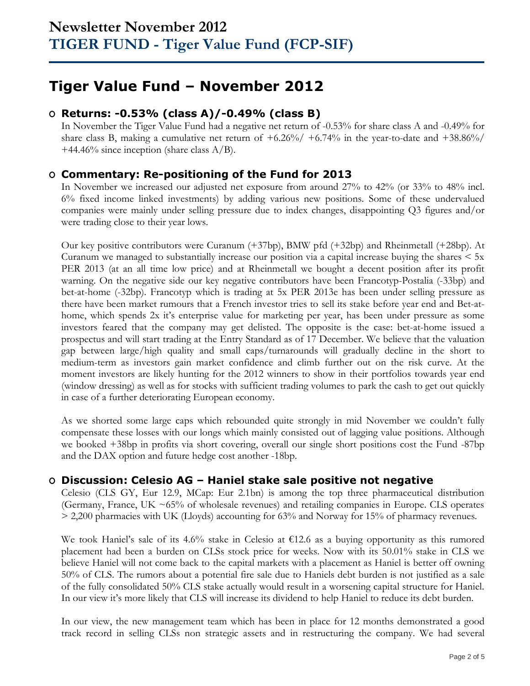# **Tiger Value Fund – November 2012**

## **O Returns: -0.53% (class A)/-0.49% (class B)**

In November the Tiger Value Fund had a negative net return of -0.53% for share class A and -0.49% for share class B, making a cumulative net return of  $+6.26\%/$   $+6.74\%$  in the year-to-date and  $+38.86\%/$ +44.46% since inception (share class  $A/B$ ).

### **O Commentary: Re-positioning of the Fund for 2013**

In November we increased our adjusted net exposure from around 27% to 42% (or 33% to 48% incl. 6% fixed income linked investments) by adding various new positions. Some of these undervalued companies were mainly under selling pressure due to index changes, disappointing Q3 figures and/or were trading close to their year lows.

Our key positive contributors were Curanum (+37bp), BMW pfd (+32bp) and Rheinmetall (+28bp). At Curanum we managed to substantially increase our position via a capital increase buying the shares  $\leq 5x$ PER 2013 (at an all time low price) and at Rheinmetall we bought a decent position after its profit warning. On the negative side our key negative contributors have been Francotyp-Postalia (-33bp) and bet-at-home (-32bp). Francotyp which is trading at 5x PER 2013e has been under selling pressure as there have been market rumours that a French investor tries to sell its stake before year end and Bet-athome, which spends 2x it's enterprise value for marketing per year, has been under pressure as some investors feared that the company may get delisted. The opposite is the case: bet-at-home issued a prospectus and will start trading at the Entry Standard as of 17 December. We believe that the valuation gap between large/high quality and small caps/turnarounds will gradually decline in the short to medium-term as investors gain market confidence and climb further out on the risk curve. At the moment investors are likely hunting for the 2012 winners to show in their portfolios towards year end (window dressing) as well as for stocks with sufficient trading volumes to park the cash to get out quickly in case of a further deteriorating European economy.

As we shorted some large caps which rebounded quite strongly in mid November we couldn't fully compensate these losses with our longs which mainly consisted out of lagging value positions. Although we booked +38bp in profits via short covering, overall our single short positions cost the Fund -87bp and the DAX option and future hedge cost another -18bp.

## **O Discussion: Celesio AG – Haniel stake sale positive not negative**

Celesio (CLS GY, Eur 12.9, MCap: Eur 2.1bn) is among the top three pharmaceutical distribution (Germany, France, UK ~65% of wholesale revenues) and retailing companies in Europe. CLS operates > 2,200 pharmacies with UK (Lloyds) accounting for 63% and Norway for 15% of pharmacy revenues.

We took Haniel's sale of its 4.6% stake in Celesio at €12.6 as a buying opportunity as this rumored placement had been a burden on CLSs stock price for weeks. Now with its 50.01% stake in CLS we believe Haniel will not come back to the capital markets with a placement as Haniel is better off owning 50% of CLS. The rumors about a potential fire sale due to Haniels debt burden is not justified as a sale of the fully consolidated 50% CLS stake actually would result in a worsening capital structure for Haniel. In our view it's more likely that CLS will increase its dividend to help Haniel to reduce its debt burden.

In our view, the new management team which has been in place for 12 months demonstrated a good track record in selling CLSs non strategic assets and in restructuring the company. We had several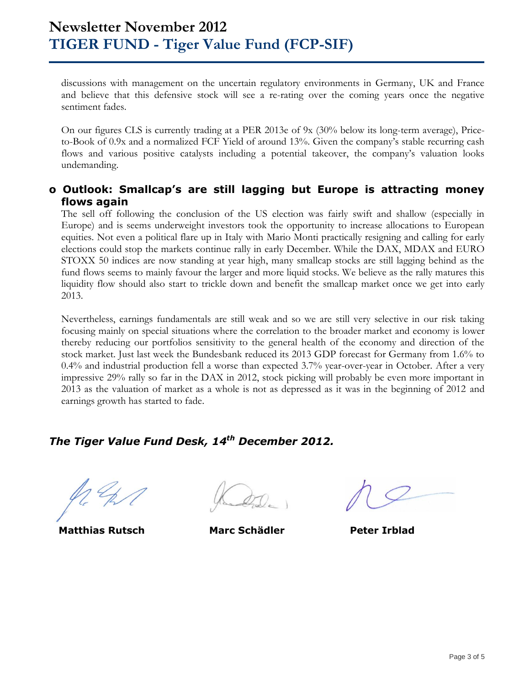discussions with management on the uncertain regulatory environments in Germany, UK and France and believe that this defensive stock will see a re-rating over the coming years once the negative sentiment fades.

On our figures CLS is currently trading at a PER 2013e of 9x (30% below its long-term average), Priceto-Book of 0.9x and a normalized FCF Yield of around 13%. Given the company's stable recurring cash flows and various positive catalysts including a potential takeover, the company's valuation looks undemanding.

### **o Outlook: Smallcap's are still lagging but Europe is attracting money flows again**

The sell off following the conclusion of the US election was fairly swift and shallow (especially in Europe) and is seems underweight investors took the opportunity to increase allocations to European equities. Not even a political flare up in Italy with Mario Monti practically resigning and calling for early elections could stop the markets continue rally in early December. While the DAX, MDAX and EURO STOXX 50 indices are now standing at year high, many smallcap stocks are still lagging behind as the fund flows seems to mainly favour the larger and more liquid stocks. We believe as the rally matures this liquidity flow should also start to trickle down and benefit the smallcap market once we get into early 2013.

Nevertheless, earnings fundamentals are still weak and so we are still very selective in our risk taking focusing mainly on special situations where the correlation to the broader market and economy is lower thereby reducing our portfolios sensitivity to the general health of the economy and direction of the stock market. Just last week the Bundesbank reduced its 2013 GDP forecast for Germany from 1.6% to 0.4% and industrial production fell a worse than expected 3.7% year-over-year in October. After a very impressive 29% rally so far in the DAX in 2012, stock picking will probably be even more important in 2013 as the valuation of market as a whole is not as depressed as it was in the beginning of 2012 and earnings growth has started to fade.

## *The Tiger Value Fund Desk, 14 th December 2012.*

**Matthias Rutsch Marc Schädler Peter Irblad**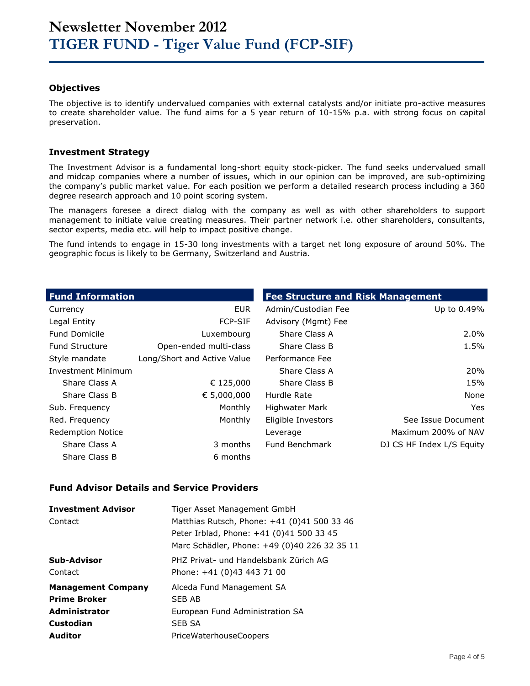### **Objectives**

The objective is to identify undervalued companies with external catalysts and/or initiate pro-active measures to create shareholder value. The fund aims for a 5 year return of 10-15% p.a. with strong focus on capital preservation.

#### **Investment Strategy**

The Investment Advisor is a fundamental long-short equity stock-picker. The fund seeks undervalued small and midcap companies where a number of issues, which in our opinion can be improved, are sub-optimizing the company's public market value. For each position we perform a detailed research process including a 360 degree research approach and 10 point scoring system.

The managers foresee a direct dialog with the company as well as with other shareholders to support management to initiate value creating measures. Their partner network i.e. other shareholders, consultants, sector experts, media etc. will help to impact positive change.

The fund intends to engage in 15-30 long investments with a target net long exposure of around 50%. The geographic focus is likely to be Germany, Switzerland and Austria.

| <b>Fund Information</b>   |                             | <b>Fee Structure and Risk Management</b> |                           |  |  |  |
|---------------------------|-----------------------------|------------------------------------------|---------------------------|--|--|--|
| Currency                  | <b>EUR</b>                  | Admin/Custodian Fee                      | Up to 0.49%               |  |  |  |
| Legal Entity              | <b>FCP-SIF</b>              | Advisory (Mgmt) Fee                      |                           |  |  |  |
| <b>Fund Domicile</b>      | Luxembourg                  | Share Class A                            | $2.0\%$                   |  |  |  |
| <b>Fund Structure</b>     | Open-ended multi-class      | Share Class B                            | 1.5%                      |  |  |  |
| Style mandate             | Long/Short and Active Value | Performance Fee                          |                           |  |  |  |
| <b>Investment Minimum</b> |                             | Share Class A                            | 20%                       |  |  |  |
| Share Class A             | € 125,000                   | Share Class B                            | 15%                       |  |  |  |
| Share Class B             | € 5,000,000                 | Hurdle Rate                              | None                      |  |  |  |
| Sub. Frequency            | Monthly                     | <b>Highwater Mark</b>                    | Yes.                      |  |  |  |
| Red. Frequency            | Monthly                     | Eligible Investors                       | See Issue Document        |  |  |  |
| <b>Redemption Notice</b>  |                             | Leverage                                 | Maximum 200% of NAV       |  |  |  |
| Share Class A             | 3 months                    | Fund Benchmark                           | DJ CS HF Index L/S Equity |  |  |  |
| Share Class B             | 6 months                    |                                          |                           |  |  |  |

#### **Fund Advisor Details and Service Providers**

| <b>Investment Advisor</b> | Tiger Asset Management GmbH                  |
|---------------------------|----------------------------------------------|
| Contact                   | Matthias Rutsch, Phone: +41 (0)41 500 33 46  |
|                           | Peter Irblad, Phone: +41 (0)41 500 33 45     |
|                           | Marc Schädler, Phone: +49 (0)40 226 32 35 11 |
| Sub-Advisor               | PHZ Privat- und Handelsbank Zürich AG        |
| Contact                   | Phone: +41 (0)43 443 71 00                   |
| <b>Management Company</b> | Alceda Fund Management SA                    |
| <b>Prime Broker</b>       | SFB AB                                       |
| <b>Administrator</b>      | European Fund Administration SA              |
| Custodian                 | <b>SEB SA</b>                                |
| <b>Auditor</b>            | PriceWaterhouseCoopers                       |